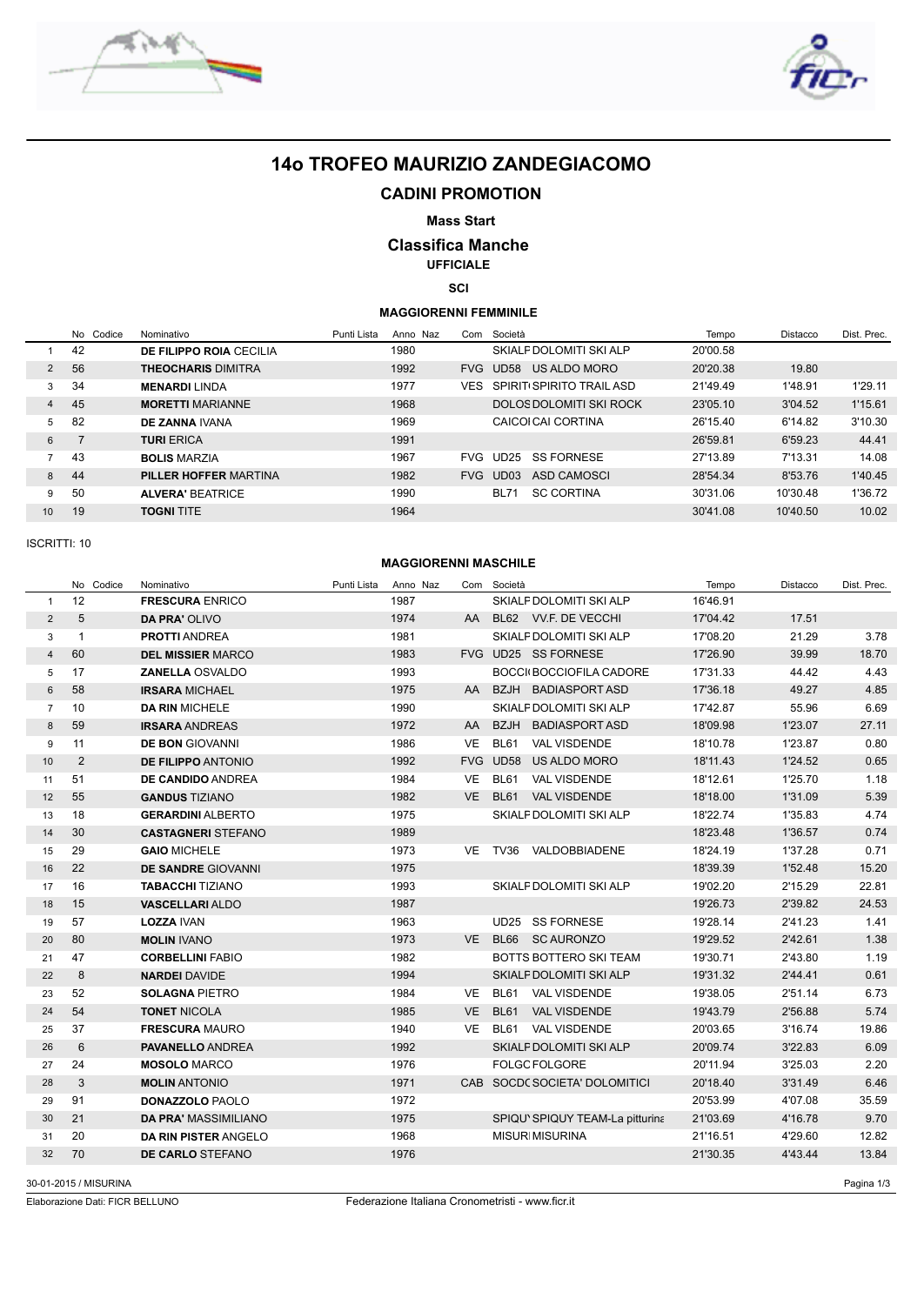



# **14o TROFEO MAURIZIO ZANDEGIACOMO**

## **CADINI PROMOTION**

**Mass Start**

**Classifica Manche UFFICIALE**

**SCI**

#### **MAGGIORENNI FEMMINILE**

|                | No Codice | Nominativo                   | Punti Lista | Anno Naz | Com        | Società                          | Tempo    | Distacco | Dist. Prec. |
|----------------|-----------|------------------------------|-------------|----------|------------|----------------------------------|----------|----------|-------------|
|                | 42        | DE FILIPPO ROIA CECILIA      |             | 1980     |            | SKIALF DOLOMITI SKI ALP          | 20'00.58 |          |             |
| $\overline{2}$ | 56        | <b>THEOCHARIS DIMITRA</b>    |             | 1992     | <b>FVG</b> | UD58<br>US ALDO MORO             | 20'20.38 | 19.80    |             |
| 3              | 34        | <b>MENARDILINDA</b>          |             | 1977     | VES        | SPIRIT SPIRITO TRAIL ASD         | 21'49.49 | 1'48.91  | 1'29.11     |
| 4              | 45        | <b>MORETTI MARIANNE</b>      |             | 1968     |            | DOLOS DOLOMITI SKI ROCK          | 23'05.10 | 3'04.52  | 1'15.61     |
| 5              | 82        | <b>DE ZANNA IVANA</b>        |             | 1969     |            | CAICOLCAL CORTINA                | 26'15.40 | 6'14.82  | 3'10.30     |
| 6              |           | <b>TURI ERICA</b>            |             | 1991     |            |                                  | 26'59.81 | 6'59.23  | 44.41       |
|                | 43        | <b>BOLIS MARZIA</b>          |             | 1967     | FVG.       | <b>SS FORNESE</b><br>UD25        | 27'13.89 | 7'13.31  | 14.08       |
| 8              | 44        | <b>PILLER HOFFER MARTINA</b> |             | 1982     | <b>FVG</b> | ASD CAMOSCI<br>UD03              | 28'54.34 | 8'53.76  | 1'40.45     |
| 9              | 50        | <b>ALVERA' BEATRICE</b>      |             | 1990     |            | <b>SC CORTINA</b><br><b>BL71</b> | 30'31.06 | 10'30.48 | 1'36.72     |
| 10             | 19        | <b>TOGNI TITE</b>            |             | 1964     |            |                                  | 30'41.08 | 10'40.50 | 10.02       |

ISCRITTI: 10

#### **MAGGIORENNI MASCHILE**

|                | No Codice    | Nominativo                  | Punti Lista | Anno Naz |           | Com Società |                                 | Tempo    | Distacco | Dist. Prec. |
|----------------|--------------|-----------------------------|-------------|----------|-----------|-------------|---------------------------------|----------|----------|-------------|
| $\mathbf{1}$   | 12           | <b>FRESCURA ENRICO</b>      |             | 1987     |           |             | SKIALF DOLOMITI SKI ALP         | 16'46.91 |          |             |
| $\overline{2}$ | 5            | <b>DA PRA' OLIVO</b>        |             | 1974     | AA .      |             | BL62 VV.F. DE VECCHI            | 17'04.42 | 17.51    |             |
| 3              | $\mathbf{1}$ | <b>PROTTI ANDREA</b>        |             | 1981     |           |             | SKIALF DOLOMITI SKI ALP         | 17'08.20 | 21.29    | 3.78        |
| $\overline{4}$ | 60           | <b>DEL MISSIER MARCO</b>    |             | 1983     |           |             | FVG UD25 SS FORNESE             | 17'26.90 | 39.99    | 18.70       |
| 5              | 17           | <b>ZANELLA OSVALDO</b>      |             | 1993     |           |             | <b>BOCCI BOCCIOFILA CADORE</b>  | 17'31.33 | 44.42    | 4.43        |
| 6              | 58           | <b>IRSARA MICHAEL</b>       |             | 1975     | AA        | <b>BZJH</b> | <b>BADIASPORT ASD</b>           | 17'36.18 | 49.27    | 4.85        |
| $\overline{7}$ | 10           | <b>DA RIN MICHELE</b>       |             | 1990     |           |             | SKIALF DOLOMITI SKI ALP         | 17'42.87 | 55.96    | 6.69        |
| 8              | 59           | <b>IRSARA ANDREAS</b>       |             | 1972     | AA        | <b>BZJH</b> | <b>BADIASPORT ASD</b>           | 18'09.98 | 1'23.07  | 27.11       |
| 9              | 11           | <b>DE BON GIOVANNI</b>      |             | 1986     | <b>VE</b> | BL61        | <b>VAL VISDENDE</b>             | 18'10.78 | 1'23.87  | 0.80        |
| 10             | 2            | <b>DE FILIPPO ANTONIO</b>   |             | 1992     |           | FVG UD58    | US ALDO MORO                    | 18'11.43 | 1'24.52  | 0.65        |
| 11             | 51           | <b>DE CANDIDO ANDREA</b>    |             | 1984     | <b>VE</b> | <b>BL61</b> | <b>VAL VISDENDE</b>             | 18'12.61 | 1'25.70  | 1.18        |
| 12             | 55           | <b>GANDUS TIZIANO</b>       |             | 1982     | <b>VE</b> | <b>BL61</b> | <b>VAL VISDENDE</b>             | 18'18.00 | 1'31.09  | 5.39        |
| 13             | 18           | <b>GERARDINI ALBERTO</b>    |             | 1975     |           |             | SKIALF DOLOMITI SKI ALP         | 18'22.74 | 1'35.83  | 4.74        |
| 14             | 30           | <b>CASTAGNERI STEFANO</b>   |             | 1989     |           |             |                                 | 18'23.48 | 1'36.57  | 0.74        |
| 15             | 29           | <b>GAIO MICHELE</b>         |             | 1973     | VE.       |             | TV36 VALDOBBIADENE              | 18'24.19 | 1'37.28  | 0.71        |
| 16             | 22           | <b>DE SANDRE GIOVANNI</b>   |             | 1975     |           |             |                                 | 18'39.39 | 1'52.48  | 15.20       |
| 17             | 16           | <b>TABACCHI TIZIANO</b>     |             | 1993     |           |             | SKIALF DOLOMITI SKI ALP         | 19'02.20 | 2'15.29  | 22.81       |
| 18             | 15           | <b>VASCELLARI ALDO</b>      |             | 1987     |           |             |                                 | 19'26.73 | 2'39.82  | 24.53       |
| 19             | 57           | <b>LOZZA IVAN</b>           |             | 1963     |           |             | UD25 SS FORNESE                 | 19'28.14 | 2'41.23  | 1.41        |
| 20             | 80           | <b>MOLIN IVANO</b>          |             | 1973     | VE.       | <b>BL66</b> | <b>SC AURONZO</b>               | 19'29.52 | 2'42.61  | 1.38        |
| 21             | 47           | <b>CORBELLINI FABIO</b>     |             | 1982     |           |             | <b>BOTTS BOTTERO SKI TEAM</b>   | 19'30.71 | 2'43.80  | 1.19        |
| 22             | 8            | <b>NARDEI DAVIDE</b>        |             | 1994     |           |             | SKIALF DOLOMITI SKI ALP         | 19'31.32 | 2'44.41  | 0.61        |
| 23             | 52           | <b>SOLAGNA PIETRO</b>       |             | 1984     | VE        |             | BL61 VAL VISDENDE               | 19'38.05 | 2'51.14  | 6.73        |
| 24             | 54           | <b>TONET NICOLA</b>         |             | 1985     | <b>VE</b> | <b>BL61</b> | <b>VAL VISDENDE</b>             | 19'43.79 | 2'56.88  | 5.74        |
| 25             | 37           | <b>FRESCURA MAURO</b>       |             | 1940     | <b>VE</b> | <b>BL61</b> | <b>VAL VISDENDE</b>             | 20'03.65 | 3'16.74  | 19.86       |
| 26             | 6            | <b>PAVANELLO ANDREA</b>     |             | 1992     |           |             | SKIALF DOLOMITI SKI ALP         | 20'09.74 | 3'22.83  | 6.09        |
| 27             | 24           | <b>MOSOLO MARCO</b>         |             | 1976     |           |             | <b>FOLGC FOLGORE</b>            | 20'11.94 | 3'25.03  | 2.20        |
| 28             | 3            | <b>MOLIN ANTONIO</b>        |             | 1971     |           |             | CAB SOCD(SOCIETA' DOLOMITICI    | 20'18.40 | 3'31.49  | 6.46        |
| 29             | 91           | <b>DONAZZOLO PAOLO</b>      |             | 1972     |           |             |                                 | 20'53.99 | 4'07.08  | 35.59       |
| 30             | 21           | <b>DA PRA' MASSIMILIANO</b> |             | 1975     |           |             | SPIQU' SPIQUY TEAM-La pitturina | 21'03.69 | 4'16.78  | 9.70        |
| 31             | 20           | DA RIN PISTER ANGELO        |             | 1968     |           |             | <b>MISUR MISURINA</b>           | 21'16.51 | 4'29.60  | 12.82       |
| 32             | 70           | <b>DE CARLO STEFANO</b>     |             | 1976     |           |             |                                 | 21'30.35 | 4'43.44  | 13.84       |
|                |              |                             |             |          |           |             |                                 |          |          |             |

30-01-2015 / MISURINA

Elaborazione Dati: FICR BELLUNO

Pagina 1/3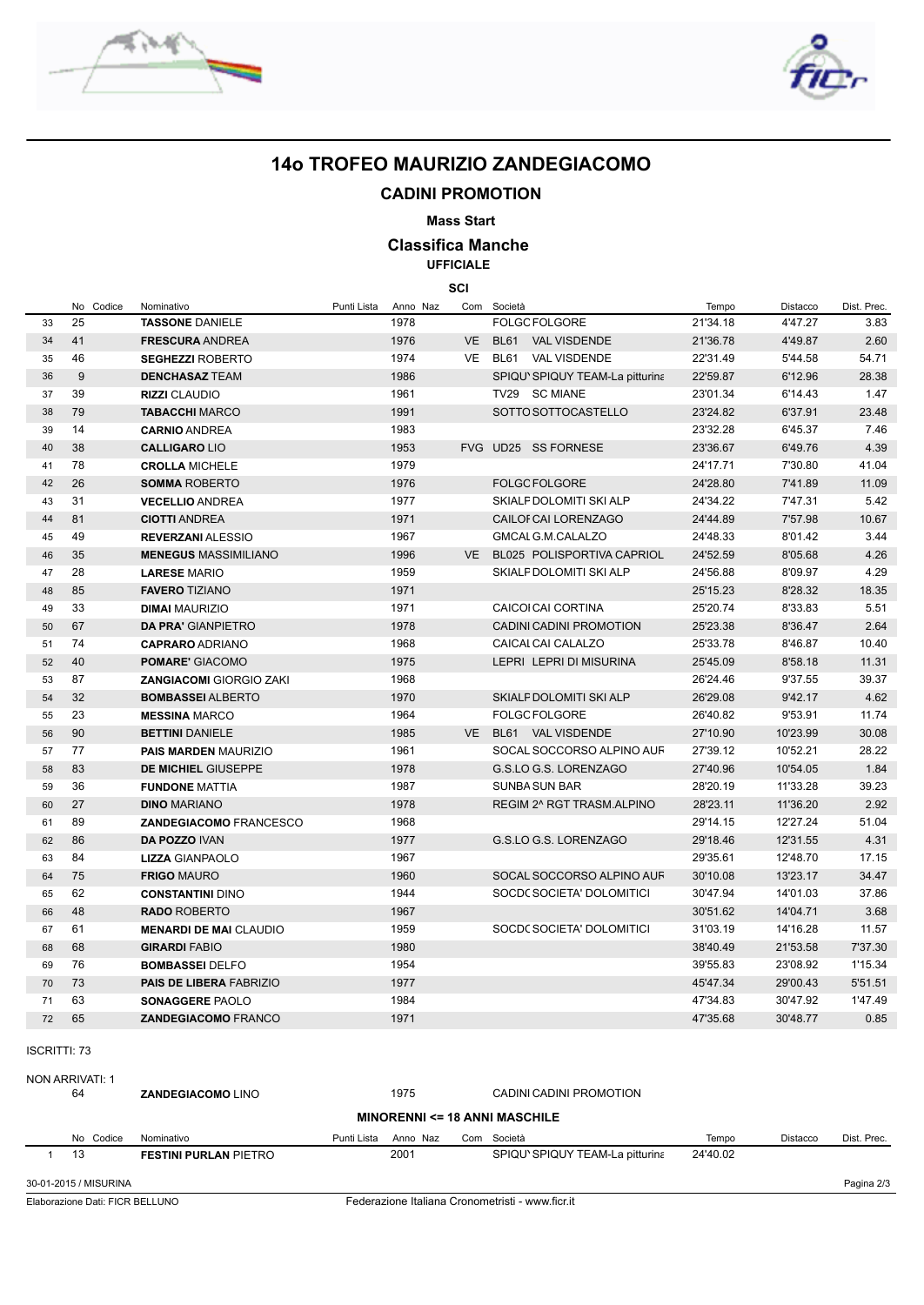



## **14o TROFEO MAURIZIO ZANDEGIACOMO**

## **CADINI PROMOTION**

**Mass Start**

#### **Classifica Manche UFFICIALE**

**SCI**

|    | No Codice | Nominativo                     | Punti Lista | Anno Naz |           | Com Società |                                 | Tempo    | Distacco | Dist. Prec. |
|----|-----------|--------------------------------|-------------|----------|-----------|-------------|---------------------------------|----------|----------|-------------|
| 33 | 25        | <b>TASSONE DANIELE</b>         |             | 1978     |           |             | <b>FOLGC FOLGORE</b>            | 21'34.18 | 4'47.27  | 3.83        |
| 34 | 41        | <b>FRESCURA ANDREA</b>         |             | 1976     | <b>VE</b> |             | BL61 VAL VISDENDE               | 21'36.78 | 4'49.87  | 2.60        |
| 35 | 46        | <b>SEGHEZZI ROBERTO</b>        |             | 1974     | VE        |             | BL61 VAL VISDENDE               | 22'31.49 | 5'44.58  | 54.71       |
| 36 | 9         | <b>DENCHASAZ TEAM</b>          |             | 1986     |           |             | SPIQU' SPIQUY TEAM-La pitturina | 22'59.87 | 6'12.96  | 28.38       |
| 37 | 39        | <b>RIZZI CLAUDIO</b>           |             | 1961     |           |             | TV29 SC MIANE                   | 23'01.34 | 6'14.43  | 1.47        |
| 38 | 79        | <b>TABACCHI MARCO</b>          |             | 1991     |           |             | SOTTO SOTTOCASTELLO             | 23'24.82 | 6'37.91  | 23.48       |
| 39 | 14        | <b>CARNIO ANDREA</b>           |             | 1983     |           |             |                                 | 23'32.28 | 6'45.37  | 7.46        |
| 40 | 38        | <b>CALLIGARO LIO</b>           |             | 1953     |           |             | FVG UD25 SS FORNESE             | 23'36.67 | 6'49.76  | 4.39        |
| 41 | 78        | <b>CROLLA MICHELE</b>          |             | 1979     |           |             |                                 | 24'17.71 | 7'30.80  | 41.04       |
| 42 | 26        | <b>SOMMA ROBERTO</b>           |             | 1976     |           |             | <b>FOLGC FOLGORE</b>            | 24'28.80 | 7'41.89  | 11.09       |
| 43 | 31        | <b>VECELLIO ANDREA</b>         |             | 1977     |           |             | SKIALF DOLOMITI SKI ALP         | 24'34.22 | 7'47.31  | 5.42        |
| 44 | 81        | <b>CIOTTI ANDREA</b>           |             | 1971     |           |             | CAILOI CAI LORENZAGO            | 24'44.89 | 7'57.98  | 10.67       |
| 45 | 49        | <b>REVERZANI ALESSIO</b>       |             | 1967     |           |             | GMCAL G.M.CALALZO               | 24'48.33 | 8'01.42  | 3.44        |
| 46 | 35        | <b>MENEGUS MASSIMILIANO</b>    |             | 1996     | VE        |             | BL025 POLISPORTIVA CAPRIOL      | 24'52.59 | 8'05.68  | 4.26        |
| 47 | 28        | <b>LARESE MARIO</b>            |             | 1959     |           |             | SKIALF DOLOMITI SKI ALP         | 24'56.88 | 8'09.97  | 4.29        |
| 48 | 85        | <b>FAVERO TIZIANO</b>          |             | 1971     |           |             |                                 | 25'15.23 | 8'28.32  | 18.35       |
| 49 | 33        | <b>DIMAI MAURIZIO</b>          |             | 1971     |           |             | CAICOI CAI CORTINA              | 25'20.74 | 8'33.83  | 5.51        |
| 50 | 67        | <b>DA PRA' GIANPIETRO</b>      |             | 1978     |           |             | CADINI CADINI PROMOTION         | 25'23.38 | 8'36.47  | 2.64        |
| 51 | 74        | <b>CAPRARO ADRIANO</b>         |             | 1968     |           |             | CAICAI CAI CALALZO              | 25'33.78 | 8'46.87  | 10.40       |
| 52 | 40        | <b>POMARE' GIACOMO</b>         |             | 1975     |           |             | LEPRI LEPRI DI MISURINA         | 25'45.09 | 8'58.18  | 11.31       |
| 53 | 87        | <b>ZANGIACOMI</b> GIORGIO ZAKI |             | 1968     |           |             |                                 | 26'24.46 | 9'37.55  | 39.37       |
| 54 | 32        | <b>BOMBASSEI ALBERTO</b>       |             | 1970     |           |             | SKIALF DOLOMITI SKI ALP         | 26'29.08 | 9'42.17  | 4.62        |
| 55 | 23        | <b>MESSINA MARCO</b>           |             | 1964     |           |             | <b>FOLGC FOLGORE</b>            | 26'40.82 | 9'53.91  | 11.74       |
| 56 | 90        | <b>BETTINI DANIELE</b>         |             | 1985     | VE.       |             | BL61 VAL VISDENDE               | 27'10.90 | 10'23.99 | 30.08       |
| 57 | 77        | <b>PAIS MARDEN MAURIZIO</b>    |             | 1961     |           |             | SOCAL SOCCORSO ALPINO AUF       | 27'39.12 | 10'52.21 | 28.22       |
| 58 | 83        | DE MICHIEL GIUSEPPE            |             | 1978     |           |             | G.S.LO G.S. LORENZAGO           | 27'40.96 | 10'54.05 | 1.84        |
| 59 | 36        | <b>FUNDONE MATTIA</b>          |             | 1987     |           |             | <b>SUNBA SUN BAR</b>            | 28'20.19 | 11'33.28 | 39.23       |
| 60 | 27        | <b>DINO MARIANO</b>            |             | 1978     |           |             | REGIM 2^ RGT TRASM.ALPINO       | 28'23.11 | 11'36.20 | 2.92        |
| 61 | 89        | <b>ZANDEGIACOMO FRANCESCO</b>  |             | 1968     |           |             |                                 | 29'14.15 | 12'27.24 | 51.04       |
| 62 | 86        | <b>DA POZZO IVAN</b>           |             | 1977     |           |             | G.S.LO G.S. LORENZAGO           | 29'18.46 | 12'31.55 | 4.31        |
| 63 | 84        | <b>LIZZA GIANPAOLO</b>         |             | 1967     |           |             |                                 | 29'35.61 | 12'48.70 | 17.15       |
| 64 | 75        | <b>FRIGO MAURO</b>             |             | 1960     |           |             | SOCAL SOCCORSO ALPINO AUF       | 30'10.08 | 13'23.17 | 34.47       |
| 65 | 62        | <b>CONSTANTINI DINO</b>        |             | 1944     |           |             | SOCD(SOCIETA' DOLOMITICI        | 30'47.94 | 14'01.03 | 37.86       |
| 66 | 48        | <b>RADO ROBERTO</b>            |             | 1967     |           |             |                                 | 30'51.62 | 14'04.71 | 3.68        |
| 67 | 61        | <b>MENARDI DE MAI CLAUDIO</b>  |             | 1959     |           |             | SOCD(SOCIETA' DOLOMITICI        | 31'03.19 | 14'16.28 | 11.57       |
| 68 | 68        | <b>GIRARDI FABIO</b>           |             | 1980     |           |             |                                 | 38'40.49 | 21'53.58 | 7'37.30     |
| 69 | 76        | <b>BOMBASSEI DELFO</b>         |             | 1954     |           |             |                                 | 39'55.83 | 23'08.92 | 1'15.34     |
| 70 | 73        | PAIS DE LIBERA FABRIZIO        |             | 1977     |           |             |                                 | 45'47.34 | 29'00.43 | 5'51.51     |
| 71 | 63        | <b>SONAGGERE PAOLO</b>         |             | 1984     |           |             |                                 | 47'34.83 | 30'47.92 | 1'47.49     |
| 72 | 65        | <b>ZANDEGIACOMO FRANCO</b>     |             | 1971     |           |             |                                 | 47'35.68 | 30'48.77 | 0.85        |
|    |           |                                |             |          |           |             |                                 |          |          |             |

ISCRITTI: 73

NON ARRIVATI: 1

**ZANDEGIACOMO** LINO 1975 CADINI CADINI PROMOTION

**MINORENNI <= 18 ANNI MASCHILE**

| No Codice             | Nominativo                   | Punti Lista | Anno Naz | Com Società                     | Tempo    | Distacco | Dist. Prec. |
|-----------------------|------------------------------|-------------|----------|---------------------------------|----------|----------|-------------|
| 13                    | <b>FESTINI PURLAN PIETRO</b> |             | 2001     | SPIQU' SPIQUY TEAM-La pitturina | 24'40.02 |          |             |
| 30-01-2015 / MISURINA |                              |             |          |                                 |          |          | Pagina 2/3  |

Elaborazione Dati: FICR BELLUNO